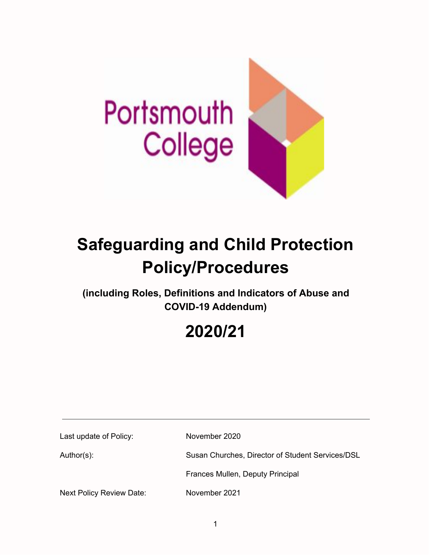

# **Safeguarding and Child Protection Policy/Procedures**

**(including Roles, Definitions and Indicators of Abuse and COVID-19 Addendum)**

# **2020/21**

Last update of Policy: November 2020

Author(s): Susan Churches, Director of Student Services/DSL

Frances Mullen, Deputy Principal

Next Policy Review Date: November 2021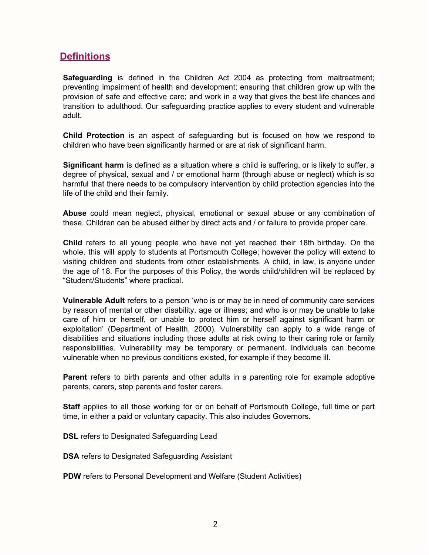# **Definitions**

**Safeguarding** is defined in the Children Act 2004 as protecting from maltreatment; preventing impairment of health and development; ensuring that children grow up with the provision of safe and effective care; and work in a way that gives the best life chances and transition to adulthood. Our safeguarding practice applies to every student and vulnerable adult.

**Child Protection** is an aspect of safeguarding but is focused on how we respond to children who have been significantly harmed or are at risk of significant harm.

**Significant harm** is defined as a situation where a child is suffering, or is likely to suffer, a degree of physical, sexual and / or emotional harm (through abuse or neglect) which is so harmful that there needs to be compulsory intervention by child protection agencies into the life of the child and their family.

**Abuse** could mean neglect, physical, emotional or sexual abuse or any combination of these. Children can be abused either by direct acts and / or failure to provide proper care.

**Child** refers to all young people who have not yet reached their 18th birthday. On the whole, this will apply to students at Portsmouth College; however the policy will extend to visiting children and students from other establishments. A child, in law, is anyone under the age of 18. For the purposes of this Policy, the words child/children will be replaced by "Student/Students" where practical.

**Vulnerable Adult** refers to a person 'who is or may be in need of community care services by reason of mental or other disability, age or illness; and who is or may be unable to take care of him or herself, or unable to protect him or herself against significant harm or exploitation' (Department of Health, 2000). Vulnerability can apply to a wide range of disabilities and situations including those adults at risk owing to their caring role or family responsibilities. Vulnerability may be temporary or permanent. Individuals can become vulnerable when no previous conditions existed, for example if they become ill.

**Parent** refers to birth parents and other adults in a parenting role for example adoptive parents, carers, step parents and foster carers.

**Staff** applies to all those working for or on behalf of Portsmouth College, full time or part time, in either a paid or voluntary capacity. This also includes Governors**.**

**DSL** refers to Designated Safeguarding Lead

**DSA** refers to Designated Safeguarding Assistant

**PDW** refers to Personal Development and Welfare (Student Activities)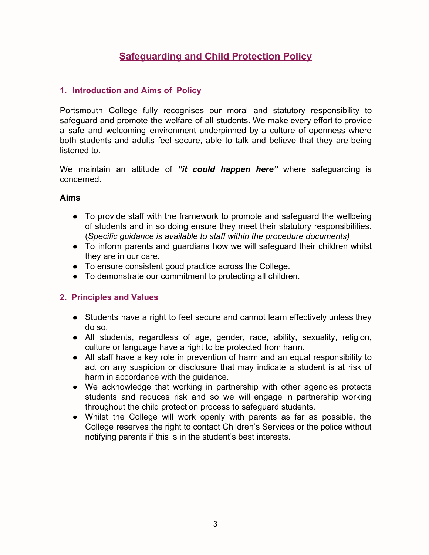# **Safeguarding and Child Protection Policy**

#### **1. Introduction and Aims of Policy**

Portsmouth College fully recognises our moral and statutory responsibility to safeguard and promote the welfare of all students. We make every effort to provide a safe and welcoming environment underpinned by a culture of openness where both students and adults feel secure, able to talk and believe that they are being listened to.

We maintain an attitude of *"it could happen here"* where safeguarding is concerned.

#### **Aims**

- To provide staff with the framework to promote and safeguard the wellbeing of students and in so doing ensure they meet their statutory responsibilities. (*Specific guidance is available to staff within the procedure documents)*
- To inform parents and guardians how we will safeguard their children whilst they are in our care.
- To ensure consistent good practice across the College.
- To demonstrate our commitment to protecting all children.

#### **2. Principles and Values**

- Students have a right to feel secure and cannot learn effectively unless they do so.
- All students, regardless of age, gender, race, ability, sexuality, religion, culture or language have a right to be protected from harm.
- All staff have a key role in prevention of harm and an equal responsibility to act on any suspicion or disclosure that may indicate a student is at risk of harm in accordance with the guidance.
- We acknowledge that working in partnership with other agencies protects students and reduces risk and so we will engage in partnership working throughout the child protection process to safeguard students.
- Whilst the College will work openly with parents as far as possible, the College reserves the right to contact Children's Services or the police without notifying parents if this is in the student's best interests.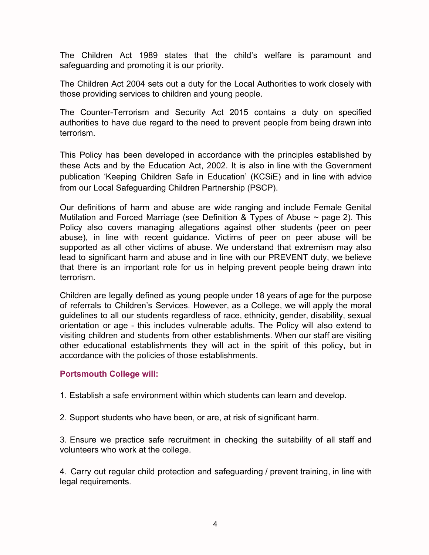The Children Act 1989 states that the child's welfare is paramount and safeguarding and promoting it is our priority.

The Children Act 2004 sets out a duty for the Local Authorities to work closely with those providing services to children and young people.

The Counter-Terrorism and Security Act 2015 contains a duty on specified authorities to have due regard to the need to prevent people from being drawn into terrorism.

This Policy has been developed in accordance with the principles established by these Acts and by the Education Act, 2002. It is also in line with the Government publication 'Keeping Children Safe in Education' (KCSiE) and in line with advice from our Local Safeguarding Children Partnership (PSCP).

Our definitions of harm and abuse are wide ranging and include Female Genital Mutilation and Forced Marriage (see Definition & Types of Abuse  $\sim$  page 2). This Policy also covers managing allegations against other students (peer on peer abuse), in line with recent guidance. Victims of peer on peer abuse will be supported as all other victims of abuse. We understand that extremism may also lead to significant harm and abuse and in line with our PREVENT duty, we believe that there is an important role for us in helping prevent people being drawn into terrorism.

Children are legally defined as young people under 18 years of age for the purpose of referrals to Children's Services. However, as a College, we will apply the moral guidelines to all our students regardless of race, ethnicity, gender, disability, sexual orientation or age - this includes vulnerable adults. The Policy will also extend to visiting children and students from other establishments. When our staff are visiting other educational establishments they will act in the spirit of this policy, but in accordance with the policies of those establishments.

#### **Portsmouth College will:**

1. Establish a safe environment within which students can learn and develop.

2. Support students who have been, or are, at risk of significant harm.

3. Ensure we practice safe recruitment in checking the suitability of all staff and volunteers who work at the college.

4. Carry out regular child protection and safeguarding / prevent training, in line with legal requirements.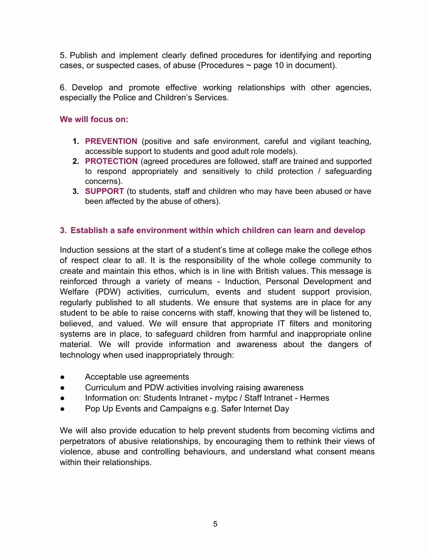5. Publish and implement clearly defined procedures for identifying and reporting cases, or suspected cases, of abuse (Procedures  $\sim$  page 10 in document).

6. Develop and promote effective working relationships with other agencies, especially the Police and Children's Services.

#### **We will focus on:**

- **1. PREVENTION** (positive and safe environment, careful and vigilant teaching, accessible support to students and good adult role models).
- **2. PROTECTION** (agreed procedures are followed, staff are trained and supported to respond appropriately and sensitively to child protection / safeguarding concerns).
- **3. SUPPORT** (to students, staff and children who may have been abused or have been affected by the abuse of others).

#### **3. Establish a safe environment within which children can learn and develop**

Induction sessions at the start of a student's time at college make the college ethos of respect clear to all. It is the responsibility of the whole college community to create and maintain this ethos, which is in line with British values. This message is reinforced through a variety of means - Induction, Personal Development and Welfare (PDW) activities, curriculum, events and student support provision, regularly published to all students. We ensure that systems are in place for any student to be able to raise concerns with staff, knowing that they will be listened to, believed, and valued. We will ensure that appropriate IT filters and monitoring systems are in place, to safeguard children from harmful and inappropriate online material. We will provide information and awareness about the dangers of technology when used inappropriately through:

- Acceptable use agreements
- Curriculum and PDW activities involving raising awareness
- Information on: Students Intranet mytpc / Staff Intranet Hermes
- Pop Up Events and Campaigns e.g. Safer Internet Day

We will also provide education to help prevent students from becoming victims and perpetrators of abusive relationships, by encouraging them to rethink their views of violence, abuse and controlling behaviours, and understand what consent means within their relationships.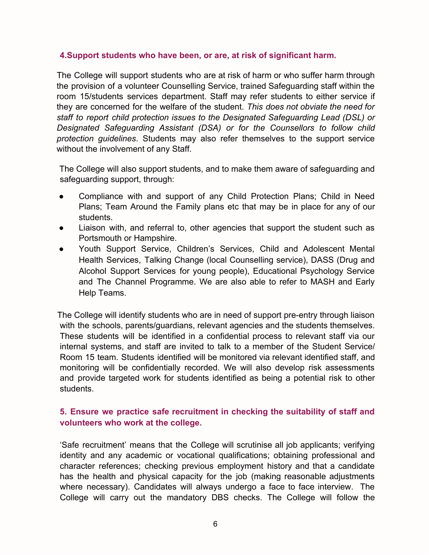#### **4.Support students who have been, or are, at risk of significant harm.**

The College will support students who are at risk of harm or who suffer harm through the provision of a volunteer Counselling Service, trained Safeguarding staff within the room 15/students services department. Staff may refer students to either service if they are concerned for the welfare of the student. *This does not obviate the need for staff to report child protection issues to the Designated Safeguarding Lead (DSL) or Designated Safeguarding Assistant (DSA) or for the Counsellors to follow child protection guidelines*. Students may also refer themselves to the support service without the involvement of any Staff.

The College will also support students, and to make them aware of safeguarding and safeguarding support, through:

- Compliance with and support of any Child Protection Plans; Child in Need Plans; Team Around the Family plans etc that may be in place for any of our students.
- Liaison with, and referral to, other agencies that support the student such as Portsmouth or Hampshire.
- Youth Support Service, Children's Services, Child and Adolescent Mental Health Services, Talking Change (local Counselling service), DASS (Drug and Alcohol Support Services for young people), Educational Psychology Service and The Channel Programme. We are also able to refer to MASH and Early Help Teams.

The College will identify students who are in need of support pre-entry through liaison with the schools, parents/guardians, relevant agencies and the students themselves. These students will be identified in a confidential process to relevant staff via our internal systems, and staff are invited to talk to a member of the Student Service/ Room 15 team. Students identified will be monitored via relevant identified staff, and monitoring will be confidentially recorded. We will also develop risk assessments and provide targeted work for students identified as being a potential risk to other students.

#### **5. Ensure we practice safe recruitment in checking the suitability of staff and volunteers who work at the college.**

'Safe recruitment' means that the College will scrutinise all job applicants; verifying identity and any academic or vocational qualifications; obtaining professional and character references; checking previous employment history and that a candidate has the health and physical capacity for the job (making reasonable adjustments where necessary). Candidates will always undergo a face to face interview. The College will carry out the mandatory DBS checks. The College will follow the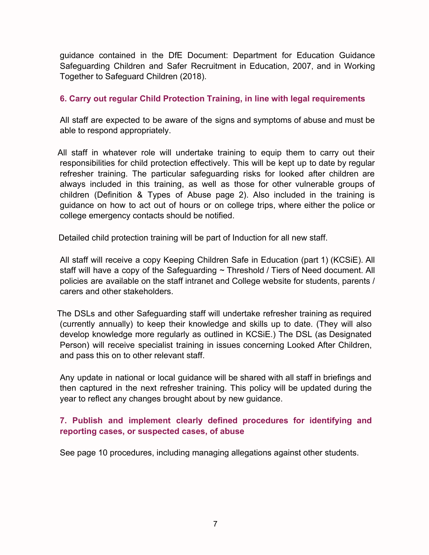guidance contained in the DfE Document: Department for Education Guidance Safeguarding Children and Safer Recruitment in Education, 2007, and in Working Together to Safeguard Children (2018).

#### **6. Carry out regular Child Protection Training, in line with legal requirements**

All staff are expected to be aware of the signs and symptoms of abuse and must be able to respond appropriately.

All staff in whatever role will undertake training to equip them to carry out their responsibilities for child protection effectively. This will be kept up to date by regular refresher training. The particular safeguarding risks for looked after children are always included in this training, as well as those for other vulnerable groups of children (Definition & Types of Abuse page 2). Also included in the training is guidance on how to act out of hours or on college trips, where either the police or college emergency contacts should be notified.

Detailed child protection training will be part of Induction for all new staff.

All staff will receive a copy Keeping Children Safe in Education (part 1) (KCSiE). All staff will have a copy of the Safeguarding  $\sim$  Threshold / Tiers of Need document. All policies are available on the staff intranet and College website for students, parents / carers and other stakeholders.

The DSLs and other Safeguarding staff will undertake refresher training as required (currently annually) to keep their knowledge and skills up to date. (They will also develop knowledge more regularly as outlined in KCSiE.) The DSL (as Designated Person) will receive specialist training in issues concerning Looked After Children, and pass this on to other relevant staff.

Any update in national or local guidance will be shared with all staff in briefings and then captured in the next refresher training. This policy will be updated during the year to reflect any changes brought about by new guidance.

## **7. Publish and implement clearly defined procedures for identifying and reporting cases, or suspected cases, of abuse**

See page 10 procedures, including managing allegations against other students.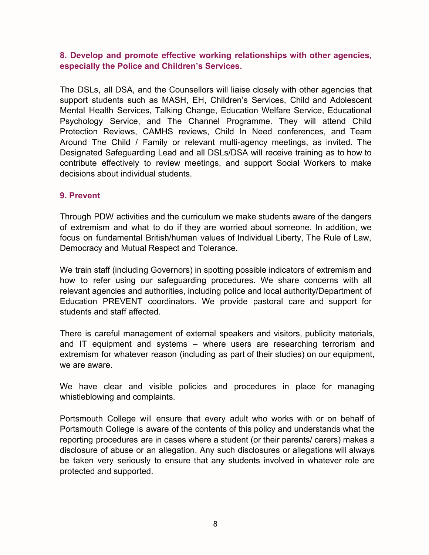#### **8. Develop and promote effective working relationships with other agencies, especially the Police and Children's Services.**

The DSLs, all DSA, and the Counsellors will liaise closely with other agencies that support students such as MASH, EH, Children's Services, Child and Adolescent Mental Health Services, Talking Change, Education Welfare Service, Educational Psychology Service, and The Channel Programme. They will attend Child Protection Reviews, CAMHS reviews, Child In Need conferences, and Team Around The Child / Family or relevant multi-agency meetings, as invited. The Designated Safeguarding Lead and all DSLs/DSA will receive training as to how to contribute effectively to review meetings, and support Social Workers to make decisions about individual students.

#### **9. Prevent**

Through PDW activities and the curriculum we make students aware of the dangers of extremism and what to do if they are worried about someone. In addition, we focus on fundamental British/human values of Individual Liberty, The Rule of Law, Democracy and Mutual Respect and Tolerance.

We train staff (including Governors) in spotting possible indicators of extremism and how to refer using our safeguarding procedures. We share concerns with all relevant agencies and authorities, including police and local authority/Department of Education PREVENT coordinators. We provide pastoral care and support for students and staff affected.

There is careful management of external speakers and visitors, publicity materials, and IT equipment and systems – where users are researching terrorism and extremism for whatever reason (including as part of their studies) on our equipment, we are aware.

We have clear and visible policies and procedures in place for managing whistleblowing and complaints.

Portsmouth College will ensure that every adult who works with or on behalf of Portsmouth College is aware of the contents of this policy and understands what the reporting procedures are in cases where a student (or their parents/ carers) makes a disclosure of abuse or an allegation. Any such disclosures or allegations will always be taken very seriously to ensure that any students involved in whatever role are protected and supported.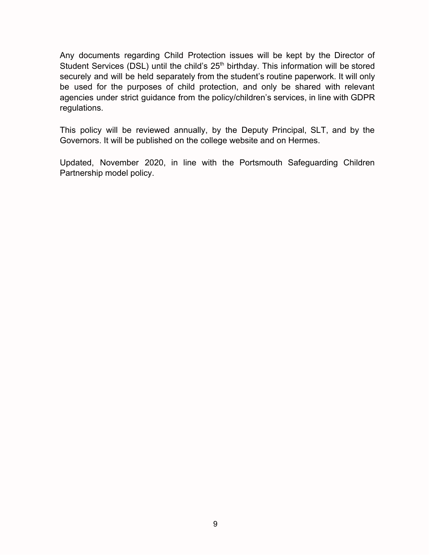Any documents regarding Child Protection issues will be kept by the Director of Student Services (DSL) until the child's  $25<sup>th</sup>$  birthday. This information will be stored securely and will be held separately from the student's routine paperwork. It will only be used for the purposes of child protection, and only be shared with relevant agencies under strict guidance from the policy/children's services, in line with GDPR regulations.

This policy will be reviewed annually, by the Deputy Principal, SLT, and by the Governors. It will be published on the college website and on Hermes.

Updated, November 2020, in line with the Portsmouth Safeguarding Children Partnership model policy.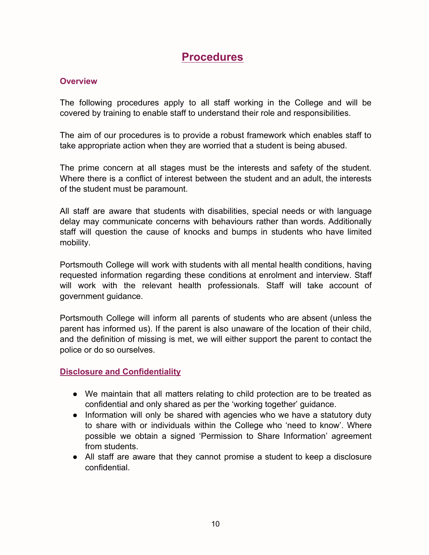# **Procedures**

#### **Overview**

The following procedures apply to all staff working in the College and will be covered by training to enable staff to understand their role and responsibilities.

The aim of our procedures is to provide a robust framework which enables staff to take appropriate action when they are worried that a student is being abused.

The prime concern at all stages must be the interests and safety of the student. Where there is a conflict of interest between the student and an adult, the interests of the student must be paramount.

All staff are aware that students with disabilities, special needs or with language delay may communicate concerns with behaviours rather than words. Additionally staff will question the cause of knocks and bumps in students who have limited mobility.

Portsmouth College will work with students with all mental health conditions, having requested information regarding these conditions at enrolment and interview. Staff will work with the relevant health professionals. Staff will take account of government guidance.

Portsmouth College will inform all parents of students who are absent (unless the parent has informed us). If the parent is also unaware of the location of their child, and the definition of missing is met, we will either support the parent to contact the police or do so ourselves.

#### **Disclosure and Confidentiality**

- We maintain that all matters relating to child protection are to be treated as confidential and only shared as per the 'working together' guidance.
- Information will only be shared with agencies who we have a statutory duty to share with or individuals within the College who 'need to know'. Where possible we obtain a signed 'Permission to Share Information' agreement from students.
- All staff are aware that they cannot promise a student to keep a disclosure confidential.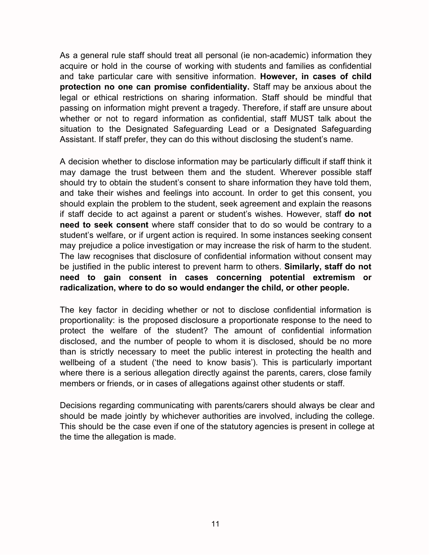As a general rule staff should treat all personal (ie non-academic) information they acquire or hold in the course of working with students and families as confidential and take particular care with sensitive information. **However, in cases of child protection no one can promise confidentiality.** Staff may be anxious about the legal or ethical restrictions on sharing information. Staff should be mindful that passing on information might prevent a tragedy. Therefore, if staff are unsure about whether or not to regard information as confidential, staff MUST talk about the situation to the Designated Safeguarding Lead or a Designated Safeguarding Assistant. If staff prefer, they can do this without disclosing the student's name.

A decision whether to disclose information may be particularly difficult if staff think it may damage the trust between them and the student. Wherever possible staff should try to obtain the student's consent to share information they have told them, and take their wishes and feelings into account. In order to get this consent, you should explain the problem to the student, seek agreement and explain the reasons if staff decide to act against a parent or student's wishes. However, staff **do not need to seek consent** where staff consider that to do so would be contrary to a student's welfare, or if urgent action is required. In some instances seeking consent may prejudice a police investigation or may increase the risk of harm to the student. The law recognises that disclosure of confidential information without consent may be justified in the public interest to prevent harm to others. **Similarly, staff do not need to gain consent in cases concerning potential extremism or radicalization, where to do so would endanger the child, or other people.**

The key factor in deciding whether or not to disclose confidential information is proportionality: is the proposed disclosure a proportionate response to the need to protect the welfare of the student? The amount of confidential information disclosed, and the number of people to whom it is disclosed, should be no more than is strictly necessary to meet the public interest in protecting the health and wellbeing of a student ('the need to know basis'). This is particularly important where there is a serious allegation directly against the parents, carers, close family members or friends, or in cases of allegations against other students or staff.

Decisions regarding communicating with parents/carers should always be clear and should be made jointly by whichever authorities are involved, including the college. This should be the case even if one of the statutory agencies is present in college at the time the allegation is made.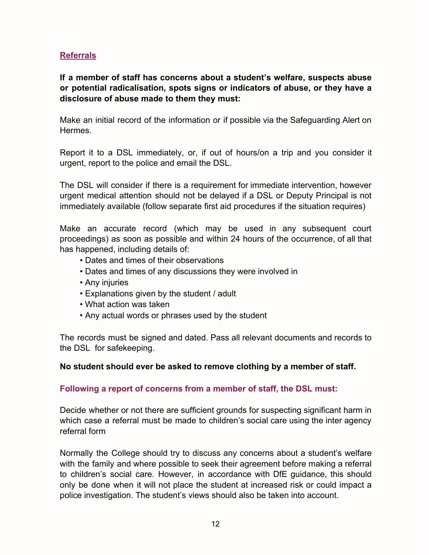### **Referrals**

**If a member of staff has concerns about a student's welfare, suspects abuse or potential radicalisation, spots signs or indicators of abuse, or they have a disclosure of abuse made to them they must:**

Make an initial record of the information or if possible via the Safeguarding Alert on Hermes.

Report it to a DSL immediately, or, if out of hours/on a trip and you consider it urgent, report to the police and email the DSL.

The DSL will consider if there is a requirement for immediate intervention, however urgent medical attention should not be delayed if a DSL or Deputy Principal is not immediately available (follow separate first aid procedures if the situation requires)

Make an accurate record (which may be used in any subsequent court proceedings) as soon as possible and within 24 hours of the occurrence, of all that has happened, including details of:

- Dates and times of their observations
- Dates and times of any discussions they were involved in
- Any injuries
- Explanations given by the student / adult
- What action was taken
- Any actual words or phrases used by the student

The records must be signed and dated. Pass all relevant documents and records to the DSL for safekeeping.

#### **No student should ever be asked to remove clothing by a member of staff.**

#### **Following a report of concerns from a member of staff, the DSL must:**

Decide whether or not there are sufficient grounds for suspecting significant harm in which case a referral must be made to children's social care using the inter agency referral form

Normally the College should try to discuss any concerns about a student's welfare with the family and where possible to seek their agreement before making a referral to children's social care. However, in accordance with DfE guidance, this should only be done when it will not place the student at increased risk or could impact a police investigation. The student's views should also be taken into account.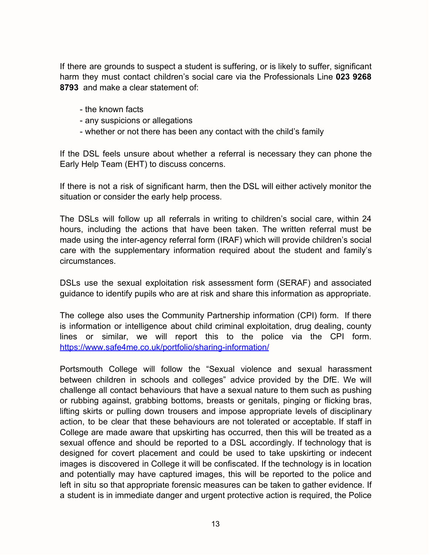If there are grounds to suspect a student is suffering, or is likely to suffer, significant harm they must contact children's social care via the Professionals Line **023 9268 8793** and make a clear statement of:

- the known facts
- any suspicions or allegations
- whether or not there has been any contact with the child's family

If the DSL feels unsure about whether a referral is necessary they can phone the Early Help Team (EHT) to discuss concerns.

If there is not a risk of significant harm, then the DSL will either actively monitor the situation or consider the early help process.

The DSLs will follow up all referrals in writing to children's social care, within 24 hours, including the actions that have been taken. The written referral must be made using the inter-agency referral form (IRAF) which will provide children's social care with the supplementary information required about the student and family's circumstances.

DSLs use the sexual exploitation risk assessment form [\(SERAF\)](http://www.hampshiresafeguardingchildrenboard.org.uk/user_controlled_lcms_area/uploaded_files/SERAF%20Risk%20Assessment%20Form%20UPDATED%20Sept%202015%20%282%29.doc) and [associated](http://www.hampshiresafeguardingchildrenboard.org.uk/user_controlled_lcms_area/uploaded_files/SERAF%20Risk%20Assessment%20-%20Scoring%20Guidance_%28HF000005713337%29.doc) [guidance](http://www.hampshiresafeguardingchildrenboard.org.uk/user_controlled_lcms_area/uploaded_files/SERAF%20Risk%20Assessment%20-%20Scoring%20Guidance_%28HF000005713337%29.doc) to identify pupils who are at risk and share this information as appropriate.

The college also uses the Community Partnership information (CPI) form. If there is information or intelligence about child criminal exploitation, drug dealing, county lines or similar, we will report this to the police via the CPI form. <https://www.safe4me.co.uk/portfolio/sharing-information/>

Portsmouth College will follow the "Sexual violence and sexual harassment between children in schools and colleges" advice provided by the DfE. We will challenge all contact behaviours that have a sexual nature to them such as pushing or rubbing against, grabbing bottoms, breasts or genitals, pinging or flicking bras, lifting skirts or pulling down trousers and impose appropriate levels of disciplinary action, to be clear that these behaviours are not tolerated or acceptable. If staff in College are made aware that upskirting has occurred, then this will be treated as a sexual offence and should be reported to a DSL accordingly. If technology that is designed for covert placement and could be used to take upskirting or indecent images is discovered in College it will be confiscated. If the technology is in location and potentially may have captured images, this will be reported to the police and left in situ so that appropriate forensic measures can be taken to gather evidence. If a student is in immediate danger and urgent protective action is required, the Police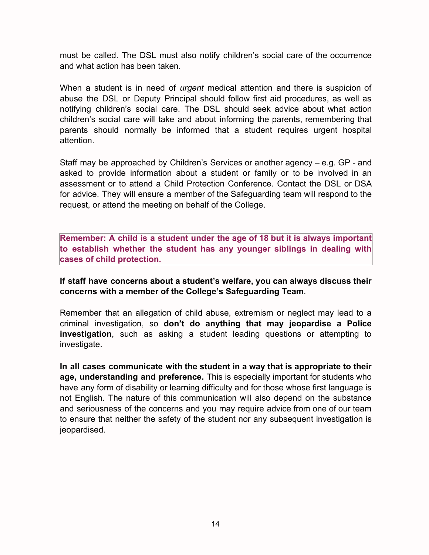must be called. The DSL must also notify children's social care of the occurrence and what action has been taken.

When a student is in need of *urgent* medical attention and there is suspicion of abuse the DSL or Deputy Principal should follow first aid procedures, as well as notifying children's social care. The DSL should seek advice about what action children's social care will take and about informing the parents, remembering that parents should normally be informed that a student requires urgent hospital attention.

Staff may be approached by Children's Services or another agency – e.g. GP - and asked to provide information about a student or family or to be involved in an assessment or to attend a Child Protection Conference. Contact the DSL or DSA for advice. They will ensure a member of the Safeguarding team will respond to the request, or attend the meeting on behalf of the College.

**Remember: A child is a student under the age of 18 but it is always important to establish whether the student has any younger siblings in dealing with cases of child protection.**

#### **If staff have concerns about a student's welfare, you can always discuss their concerns with a member of the College's Safeguarding Team**.

Remember that an allegation of child abuse, extremism or neglect may lead to a criminal investigation, so **don't do anything that may jeopardise a Police investigation**, such as asking a student leading questions or attempting to investigate.

**In all cases communicate with the student in a way that is appropriate to their age, understanding and preference.** This is especially important for students who have any form of disability or learning difficulty and for those whose first language is not English. The nature of this communication will also depend on the substance and seriousness of the concerns and you may require advice from one of our team to ensure that neither the safety of the student nor any subsequent investigation is jeopardised.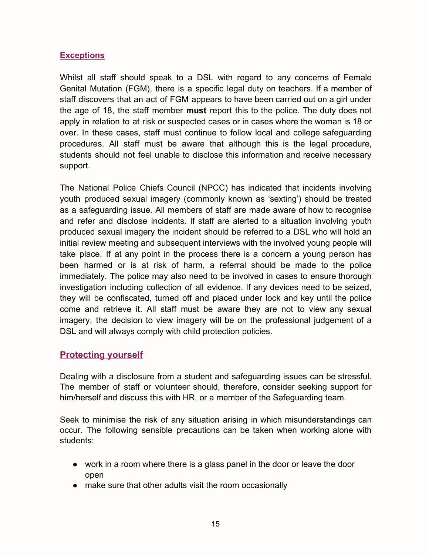#### **Exceptions**

Whilst all staff should speak to a DSL with regard to any concerns of Female Genital Mutation (FGM), there is a specific legal duty on teachers. If a member of staff discovers that an act of FGM appears to have been carried out on a girl under the age of 18, the staff member **must** report this to the police. The duty does not apply in relation to at risk or suspected cases or in cases where the woman is 18 or over. In these cases, staff must continue to follow local and college safeguarding procedures. All staff must be aware that although this is the legal procedure, students should not feel unable to disclose this information and receive necessary support.

The National Police Chiefs Council (NPCC) has indicated that incidents involving youth produced sexual imagery (commonly known as 'sexting') should be treated as a safeguarding issue. All members of staff are made aware of how to recognise and refer and disclose incidents. If staff are alerted to a situation involving youth produced sexual imagery the incident should be referred to a DSL who will hold an initial review meeting and subsequent interviews with the involved young people will take place. If at any point in the process there is a concern a young person has been harmed or is at risk of harm, a referral should be made to the police immediately. The police may also need to be involved in cases to ensure thorough investigation including collection of all evidence. If any devices need to be seized, they will be confiscated, turned off and placed under lock and key until the police come and retrieve it. All staff must be aware they are not to view any sexual imagery, the decision to view imagery will be on the professional judgement of a DSL and will always comply with child protection policies.

#### **Protecting yourself**

Dealing with a disclosure from a student and safeguarding issues can be stressful. The member of staff or volunteer should, therefore, consider seeking support for him/herself and discuss this with HR, or a member of the Safeguarding team.

Seek to minimise the risk of any situation arising in which misunderstandings can occur. The following sensible precautions can be taken when working alone with students:

- work in a room where there is a glass panel in the door or leave the door open
- make sure that other adults visit the room occasionally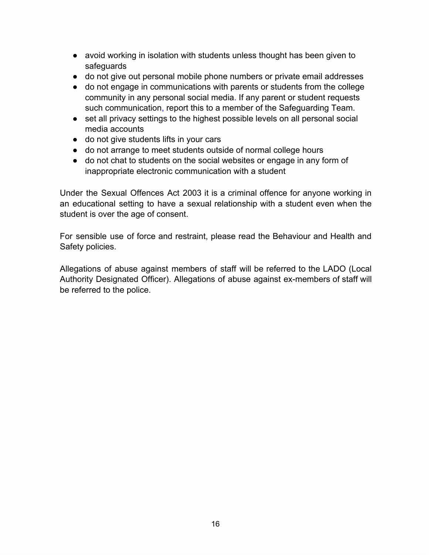- avoid working in isolation with students unless thought has been given to safeguards
- do not give out personal mobile phone numbers or private email addresses
- do not engage in communications with parents or students from the college community in any personal social media. If any parent or student requests such communication, report this to a member of the Safeguarding Team.
- set all privacy settings to the highest possible levels on all personal social media accounts
- do not give students lifts in your cars
- do not arrange to meet students outside of normal college hours
- do not chat to students on the social websites or engage in any form of inappropriate electronic communication with a student

Under the Sexual Offences Act 2003 it is a criminal offence for anyone working in an educational setting to have a sexual relationship with a student even when the student is over the age of consent.

For sensible use of force and restraint, please read the Behaviour and Health and Safety policies.

Allegations of abuse against members of staff will be referred to the LADO (Local Authority Designated Officer). Allegations of abuse against ex-members of staff will be referred to the police.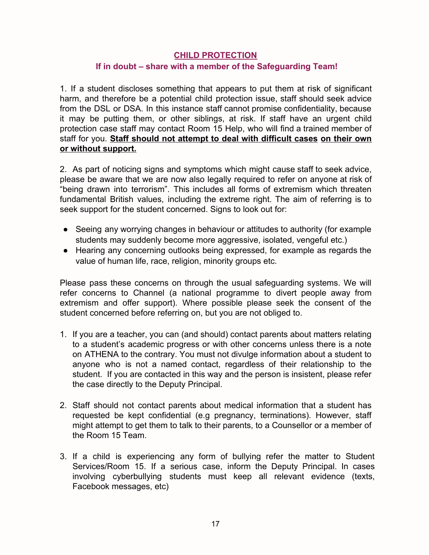## **CHILD PROTECTION If in doubt – share with a member of the Safeguarding Team!**

1. If a student discloses something that appears to put them at risk of significant harm, and therefore be a potential child protection issue, staff should seek advice from the DSL or DSA. In this instance staff cannot promise confidentiality, because it may be putting them, or other siblings, at risk. If staff have an urgent child protection case staff may contact Room 15 Help, who will find a trained member of staff for you. **Staff should not attempt to deal with difficult cases on their own or without support.**

2. As part of noticing signs and symptoms which might cause staff to seek advice, please be aware that we are now also legally required to refer on anyone at risk of "being drawn into terrorism". This includes all forms of extremism which threaten fundamental British values, including the extreme right. The aim of referring is to seek support for the student concerned. Signs to look out for:

- Seeing any worrying changes in behaviour or attitudes to authority (for example students may suddenly become more aggressive, isolated, vengeful etc.)
- Hearing any concerning outlooks being expressed, for example as regards the value of human life, race, religion, minority groups etc.

Please pass these concerns on through the usual safeguarding systems. We will refer concerns to Channel (a national programme to divert people away from extremism and offer support). Where possible please seek the consent of the student concerned before referring on, but you are not obliged to.

- 1. If you are a teacher, you can (and should) contact parents about matters relating to a student's academic progress or with other concerns unless there is a note on ATHENA to the contrary. You must not divulge information about a student to anyone who is not a named contact, regardless of their relationship to the student. If you are contacted in this way and the person is insistent, please refer the case directly to the Deputy Principal.
- 2. Staff should not contact parents about medical information that a student has requested be kept confidential (e.g pregnancy, terminations). However, staff might attempt to get them to talk to their parents, to a Counsellor or a member of the Room 15 Team.
- 3. If a child is experiencing any form of bullying refer the matter to Student Services/Room 15. If a serious case, inform the Deputy Principal. In cases involving cyberbullying students must keep all relevant evidence (texts, Facebook messages, etc)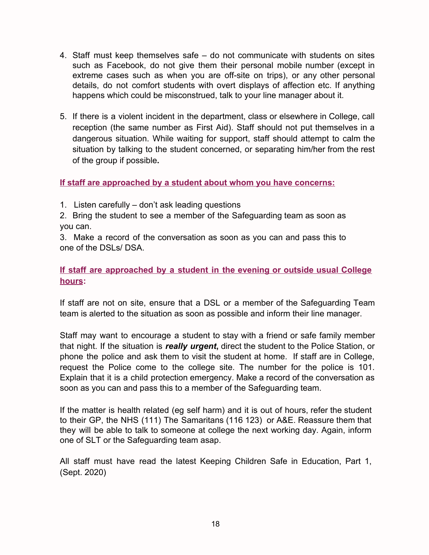- 4. Staff must keep themselves safe do not communicate with students on sites such as Facebook, do not give them their personal mobile number (except in extreme cases such as when you are off-site on trips), or any other personal details, do not comfort students with overt displays of affection etc. If anything happens which could be misconstrued, talk to your line manager about it.
- 5. If there is a violent incident in the department, class or elsewhere in College, call reception (the same number as First Aid). Staff should not put themselves in a dangerous situation. While waiting for support, staff should attempt to calm the situation by talking to the student concerned, or separating him/her from the rest of the group if possible**.**

**If staff are approached by a student about whom you have concerns:**

1. Listen carefully – don't ask leading questions

2. Bring the student to see a member of the Safeguarding team as soon as you can.

3. Make a record of the conversation as soon as you can and pass this to one of the DSLs/ DSA.

## **If staff are approached by a student in the evening or outside usual College hours:**

If staff are not on site, ensure that a DSL or a member of the Safeguarding Team team is alerted to the situation as soon as possible and inform their line manager.

Staff may want to encourage a student to stay with a friend or safe family member that night. If the situation is *really urgent***,** direct the student to the Police Station, or phone the police and ask them to visit the student at home. If staff are in College, request the Police come to the college site. The number for the police is 101. Explain that it is a child protection emergency. Make a record of the conversation as soon as you can and pass this to a member of the Safeguarding team.

If the matter is health related (eg self harm) and it is out of hours, refer the student to their GP, the NHS (111) The Samaritans (116 123) or A&E. Reassure them that they will be able to talk to someone at college the next working day. Again, inform one of SLT or the Safeguarding team asap.

All staff must have read the latest Keeping Children Safe in Education, Part 1, (Sept. 2020)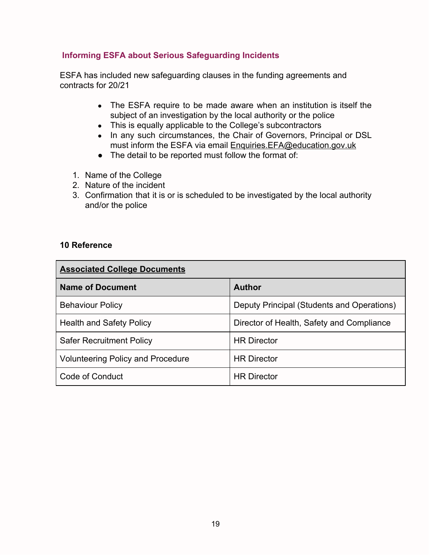#### **Informing ESFA about Serious Safeguarding Incidents**

ESFA has included new safeguarding clauses in the funding agreements and contracts for 20/21

- The ESFA require to be made aware when an institution is itself the subject of an investigation by the local authority or the police
- This is equally applicable to the College's subcontractors
- In any such circumstances, the Chair of Governors, Principal or DSL must inform the ESFA via email [Enquiries.EFA@education.gov.uk](mailto:Enquiries.EFA@education.gov.uk)
- The detail to be reported must follow the format of:
- 1. Name of the College
- 2. Nature of the incident
- 3. Confirmation that it is or is scheduled to be investigated by the local authority and/or the police

#### **10 Reference**

| <b>Associated College Documents</b>      |                                            |
|------------------------------------------|--------------------------------------------|
| <b>Name of Document</b>                  | Author                                     |
| <b>Behaviour Policy</b>                  | Deputy Principal (Students and Operations) |
| <b>Health and Safety Policy</b>          | Director of Health, Safety and Compliance  |
| <b>Safer Recruitment Policy</b>          | <b>HR Director</b>                         |
| <b>Volunteering Policy and Procedure</b> | <b>HR</b> Director                         |
| Code of Conduct                          | <b>HR Director</b>                         |